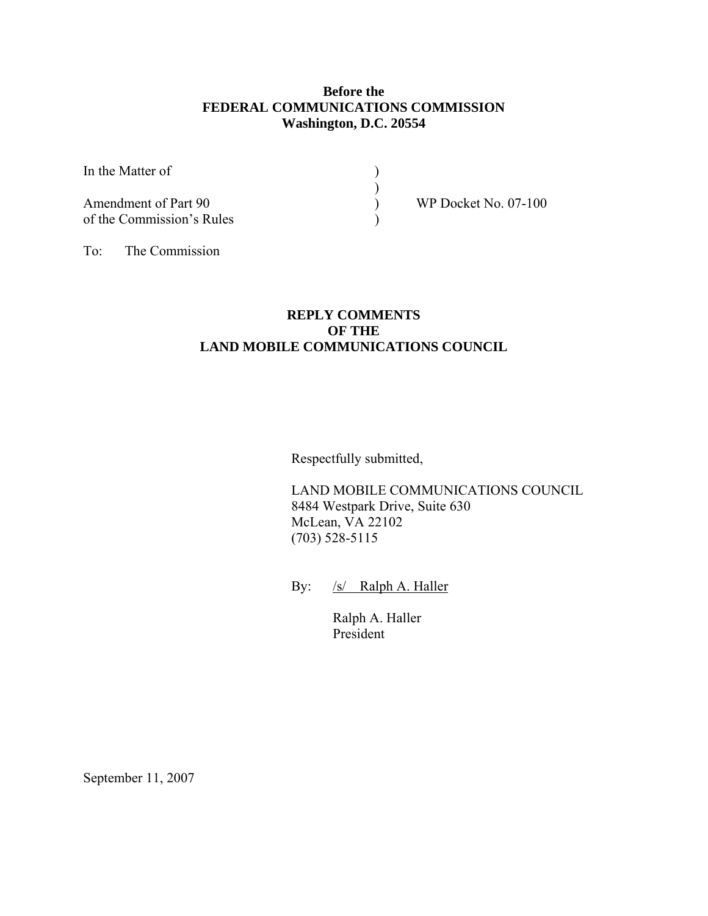#### **Before the FEDERAL COMMUNICATIONS COMMISSION Washington, D.C. 20554**

In the Matter of  $\qquad$  )

Amendment of Part 90 ) WP Docket No. 07-100 of the Commission's Rules )

 $)$ 

To: The Commission

# **REPLY COMMENTS OF THE LAND MOBILE COMMUNICATIONS COUNCIL**

Respectfully submitted,

 LAND MOBILE COMMUNICATIONS COUNCIL 8484 Westpark Drive, Suite 630 McLean, VA 22102 (703) 528-5115

By: /s/ Ralph A. Haller

 Ralph A. Haller President

September 11, 2007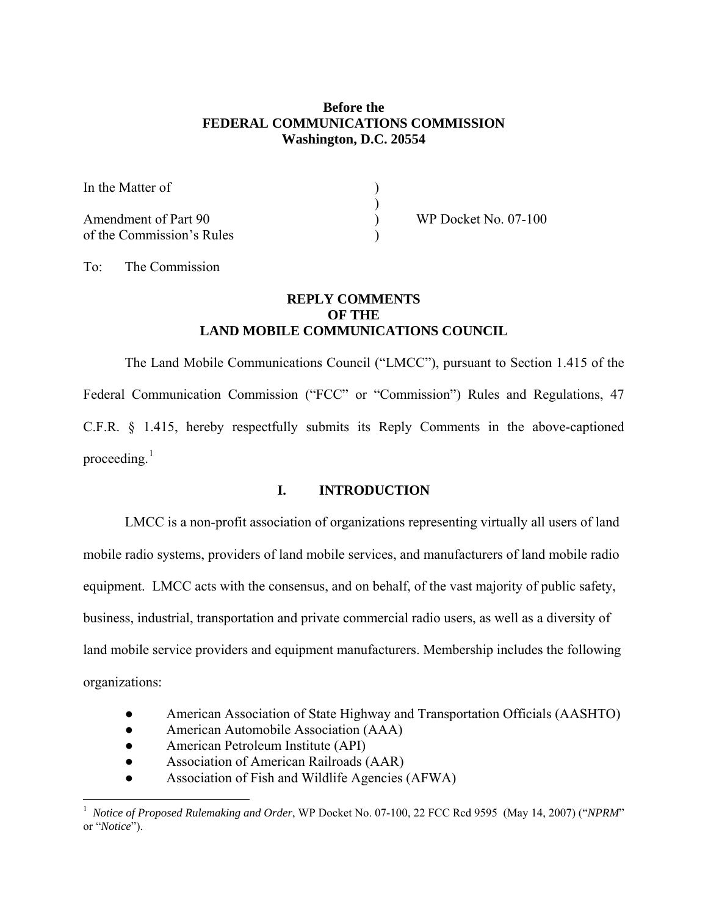#### **Before the FEDERAL COMMUNICATIONS COMMISSION Washington, D.C. 20554**

| In the Matter of                                  |  |
|---------------------------------------------------|--|
| Amendment of Part 90<br>of the Commission's Rules |  |

WP Docket No. 07-100

To: The Commission

## **REPLY COMMENTS OF THE LAND MOBILE COMMUNICATIONS COUNCIL**

The Land Mobile Communications Council ("LMCC"), pursuant to Section 1.415 of the Federal Communication Commission ("FCC" or "Commission") Rules and Regulations, 47 C.F.R. § 1.415, hereby respectfully submits its Reply Comments in the above-captioned proceeding. $<sup>1</sup>$  $<sup>1</sup>$  $<sup>1</sup>$ </sup>

## **I. INTRODUCTION**

 LMCC is a non-profit association of organizations representing virtually all users of land mobile radio systems, providers of land mobile services, and manufacturers of land mobile radio equipment. LMCC acts with the consensus, and on behalf, of the vast majority of public safety, business, industrial, transportation and private commercial radio users, as well as a diversity of land mobile service providers and equipment manufacturers. Membership includes the following organizations:

- American Association of State Highway and Transportation Officials (AASHTO)
- American Automobile Association (AAA)
- American Petroleum Institute (API)

 $\overline{a}$ 

- Association of American Railroads (AAR)
- Association of Fish and Wildlife Agencies (AFWA)

<span id="page-1-0"></span><sup>&</sup>lt;sup>1</sup> Notice of Proposed Rulemaking and Order, WP Docket No. 07-100, 22 FCC Rcd 9595 (May 14, 2007) ("*NPRM*" or "*Notice*").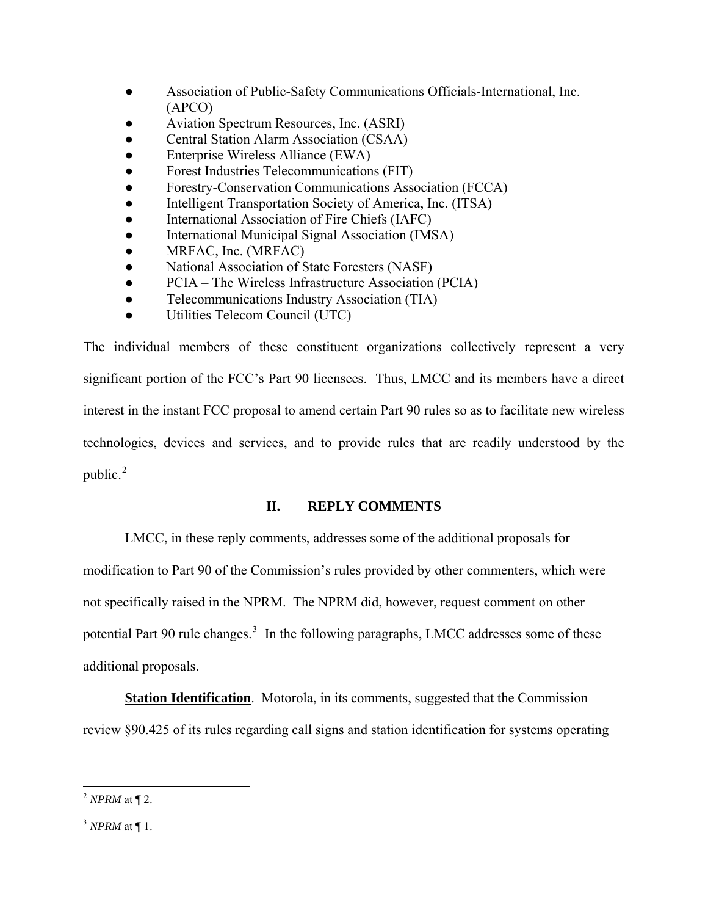- Association of Public-Safety Communications Officials-International, Inc. (APCO)
- Aviation Spectrum Resources, Inc. (ASRI)
- Central Station Alarm Association (CSAA)
- Enterprise Wireless Alliance (EWA)
- Forest Industries Telecommunications (FIT)
- Forestry-Conservation Communications Association (FCCA)
- Intelligent Transportation Society of America, Inc. (ITSA)
- International Association of Fire Chiefs (IAFC)
- International Municipal Signal Association (IMSA)
- MRFAC, Inc. (MRFAC)
- National Association of State Foresters (NASF)
- PCIA The Wireless Infrastructure Association (PCIA)
- Telecommunications Industry Association (TIA)
- Utilities Telecom Council (UTC)

The individual members of these constituent organizations collectively represent a very significant portion of the FCC's Part 90 licensees. Thus, LMCC and its members have a direct interest in the instant FCC proposal to amend certain Part 90 rules so as to facilitate new wireless technologies, devices and services, and to provide rules that are readily understood by the public. $2$ 

## **II. REPLY COMMENTS**

 LMCC, in these reply comments, addresses some of the additional proposals for modification to Part 90 of the Commission's rules provided by other commenters, which were not specifically raised in the NPRM. The NPRM did, however, request comment on other potential Part 90 rule changes.<sup>[3](#page-2-1)</sup> In the following paragraphs, LMCC addresses some of these additional proposals.

**Station Identification**. Motorola, in its comments, suggested that the Commission review §90.425 of its rules regarding call signs and station identification for systems operating

<span id="page-2-0"></span> $\overline{a}$ <sup>2</sup> *NPRM* at ¶ 2.

<span id="page-2-1"></span><sup>3</sup> *NPRM* at ¶ 1.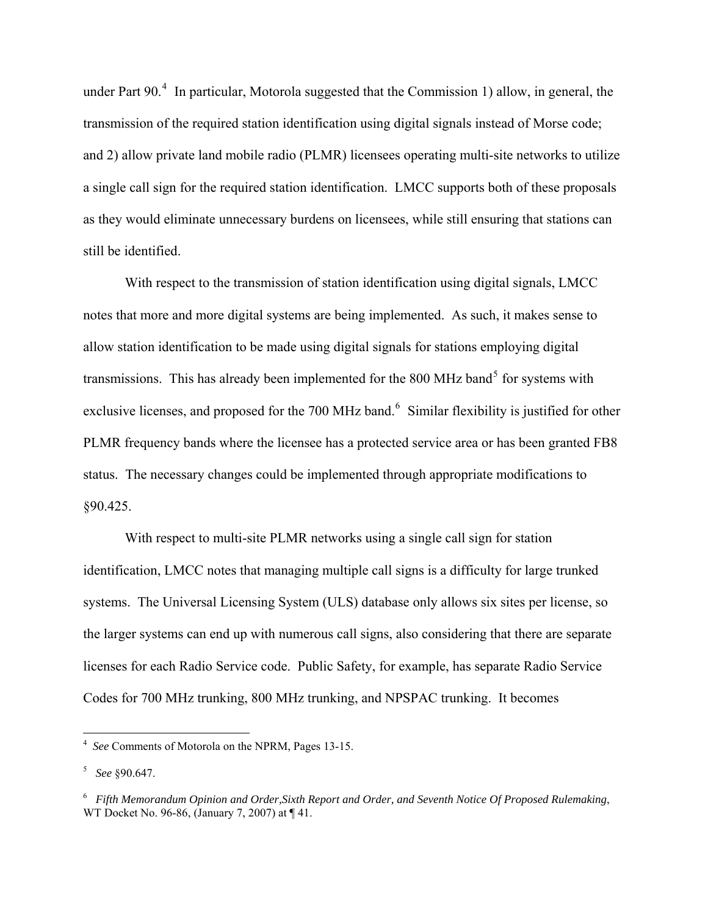under Part  $90<sup>4</sup>$  $90<sup>4</sup>$  $90<sup>4</sup>$  In particular, Motorola suggested that the Commission 1) allow, in general, the transmission of the required station identification using digital signals instead of Morse code; and 2) allow private land mobile radio (PLMR) licensees operating multi-site networks to utilize a single call sign for the required station identification. LMCC supports both of these proposals as they would eliminate unnecessary burdens on licensees, while still ensuring that stations can still be identified.

 With respect to the transmission of station identification using digital signals, LMCC notes that more and more digital systems are being implemented. As such, it makes sense to allow station identification to be made using digital signals for stations employing digital transmissions. This has already been implemented for the 800 MHz band<sup>[5](#page-3-1)</sup> for systems with exclusive licenses, and proposed for the 700 MHz band.<sup>[6](#page-3-2)</sup> Similar flexibility is justified for other PLMR frequency bands where the licensee has a protected service area or has been granted FB8 status. The necessary changes could be implemented through appropriate modifications to §90.425.

 With respect to multi-site PLMR networks using a single call sign for station identification, LMCC notes that managing multiple call signs is a difficulty for large trunked systems. The Universal Licensing System (ULS) database only allows six sites per license, so the larger systems can end up with numerous call signs, also considering that there are separate licenses for each Radio Service code. Public Safety, for example, has separate Radio Service Codes for 700 MHz trunking, 800 MHz trunking, and NPSPAC trunking. It becomes

<span id="page-3-0"></span> 4 *See* Comments of Motorola on the NPRM, Pages 13-15.

<span id="page-3-1"></span><sup>5</sup> *See* §90.647.

<span id="page-3-2"></span><sup>6</sup> *Fifth Memorandum Opinion and Order,Sixth Report and Order, and Seventh Notice Of Proposed Rulemaking*, WT Docket No. 96-86, (January 7, 2007) at ¶ 41.